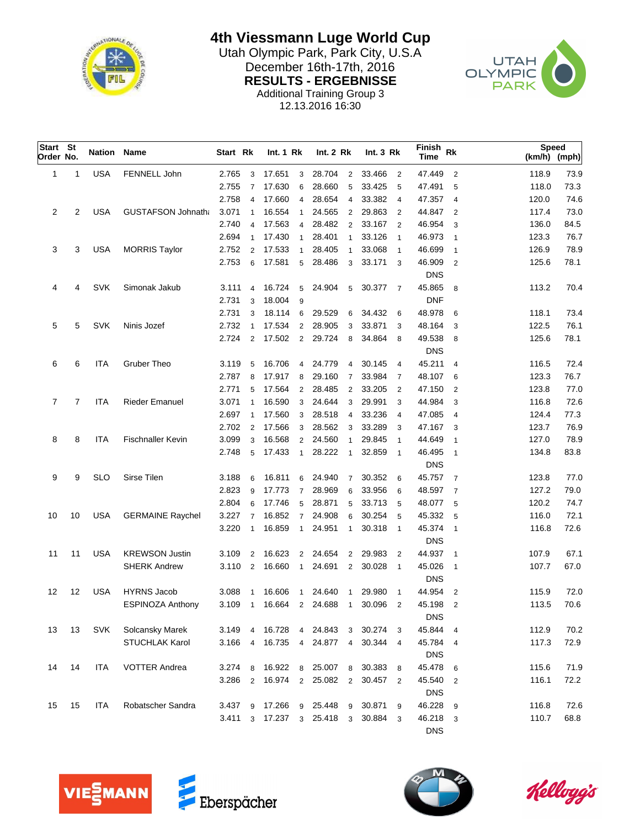

**4th Viessmann Luge World Cup**

Utah Olympic Park, Park City, U.S.A<br>Desember 16th-17th, 2016 December 16th-17th, 2016<br>
RESULTS - ERGEBNISSE<br>
CLYMPIC **RESULTS - ERGEBNISSE** Additional Training Group 3



12.13.2016 16:30

| Start St<br>Order No. |    | Nation     | Name                      | Start Rk |                | <b>Int. 1 Rk</b>        |                | Int. 2 Rk |                         | Int.3 Rk |                | Finish<br>Time       | Rk                         | <b>Speed</b> | (km/h) (mph) |
|-----------------------|----|------------|---------------------------|----------|----------------|-------------------------|----------------|-----------|-------------------------|----------|----------------|----------------------|----------------------------|--------------|--------------|
| 1                     | 1  | <b>USA</b> | FENNELL John              | 2.765    | 3              | 17.651                  | 3              | 28.704    | $\overline{2}$          | 33.466   | $\overline{2}$ | 47.449               | $\overline{2}$             | 118.9        | 73.9         |
|                       |    |            |                           | 2.755    | $\overline{7}$ | 17.630                  | 6              | 28.660    | 5                       | 33.425   | 5              | 47.491               | 5                          | 118.0        | 73.3         |
|                       |    |            |                           | 2.758    | $\overline{4}$ | 17.660                  | $\overline{4}$ | 28.654    | 4                       | 33.382   | $\overline{4}$ | 47.357               | 4                          | 120.0        | 74.6         |
| 2                     | 2  | <b>USA</b> | <b>GUSTAFSON Johnath:</b> | 3.071    | $\mathbf{1}$   | 16.554                  | $\mathbf{1}$   | 24.565    | $\overline{2}$          | 29.863   | $\overline{2}$ | 44.847               | 2                          | 117.4        | 73.0         |
|                       |    |            |                           | 2.740    | $\overline{4}$ | 17.563                  | $\overline{4}$ | 28.482    | 2                       | 33.167   | $\overline{2}$ | 46.954               | 3                          | 136.0        | 84.5         |
|                       |    |            |                           | 2.694    | $\mathbf{1}$   | 17.430                  | $\mathbf{1}$   | 28.401    | $\mathbf{1}$            | 33.126   | $\overline{1}$ | 46.973               | $\overline{1}$             | 123.3        | 76.7         |
| 3                     | 3  | <b>USA</b> | <b>MORRIS Taylor</b>      | 2.752    | 2              | 17.533                  | $\mathbf{1}$   | 28.405    | $\mathbf{1}$            | 33.068   | $\overline{1}$ | 46.699               | $\mathbf{1}$               | 126.9        | 78.9         |
|                       |    |            |                           | 2.753    | 6              | 17.581                  | 5              | 28.486    | 3                       | 33.171   | -3             | 46.909               | $\overline{2}$             | 125.6        | 78.1         |
|                       |    |            |                           |          |                |                         |                |           |                         |          |                | <b>DNS</b>           |                            |              |              |
| 4                     | 4  | <b>SVK</b> | Simonak Jakub             | 3.111    | 4              | 16.724                  | 5              | 24.904    | 5                       | 30.377   | $\overline{7}$ | 45.865               | 8                          | 113.2        | 70.4         |
|                       |    |            |                           | 2.731    | 3              | 18.004                  | 9              |           |                         |          |                | <b>DNF</b>           |                            |              |              |
|                       |    |            |                           | 2.731    | 3              | 18.114                  | 6              | 29.529    | 6                       | 34.432   | 6              | 48.978               | 6                          | 118.1        | 73.4         |
| 5                     | 5  | <b>SVK</b> | Ninis Jozef               | 2.732    | $\overline{1}$ | 17.534                  | $\overline{2}$ | 28.905    | 3                       | 33.871   | 3              | 48.164               | 3                          | 122.5        | 76.1         |
|                       |    |            |                           | 2.724    | 2              | 17.502                  | $\overline{2}$ | 29.724    | 8                       | 34.864   | 8              | 49.538               | 8                          | 125.6        | 78.1         |
|                       |    |            |                           |          |                |                         |                |           |                         |          |                | <b>DNS</b>           |                            |              |              |
| 6                     | 6  | <b>ITA</b> | <b>Gruber Theo</b>        | 3.119    | 5              | 16.706                  | $\overline{4}$ | 24.779    | $\overline{4}$          | 30.145   | $\overline{4}$ | 45.211               | $\overline{4}$             | 116.5        | 72.4         |
|                       |    |            |                           | 2.787    | 8              | 17.917                  | 8              | 29.160    | $\overline{7}$          | 33.984   | $\overline{7}$ | 48.107               | - 6                        | 123.3        | 76.7         |
|                       |    |            |                           | 2.771    | 5              | 17.564                  | $\overline{2}$ | 28.485    | $\overline{2}$          | 33.205   | $\overline{2}$ | 47.150               | 2                          | 123.8        | 77.0         |
| $\overline{7}$        | 7  | <b>ITA</b> | <b>Rieder Emanuel</b>     | 3.071    | $\overline{1}$ | 16.590                  | 3              | 24.644    | 3                       | 29.991   | 3              | 44.984               | 3                          | 116.8        | 72.6         |
|                       |    |            |                           | 2.697    | $\overline{1}$ | 17.560                  | 3              | 28.518    | 4                       | 33.236   | $\overline{4}$ | 47.085               | $\overline{4}$             | 124.4        | 77.3         |
|                       |    |            |                           | 2.702    | $\overline{2}$ | 17.566                  | 3              | 28.562    | 3                       | 33.289   | 3              | 47.167               | - 3                        | 123.7        | 76.9         |
| 8                     | 8  | ITA        | <b>Fischnaller Kevin</b>  | 3.099    | 3              | 16.568                  | $\overline{2}$ | 24.560    | $\mathbf{1}$            | 29.845   | $\mathbf{1}$   | 44.649               | $\overline{1}$             | 127.0        | 78.9         |
|                       |    |            |                           | 2.748    | 5              | 17.433                  | $\mathbf{1}$   | 28.222    | $\mathbf{1}$            | 32.859   | $\overline{1}$ | 46.495               | $\overline{\phantom{0}}$ 1 | 134.8        | 83.8         |
|                       |    |            |                           |          |                |                         |                |           |                         |          |                | <b>DNS</b>           |                            |              |              |
| 9                     | 9  | <b>SLO</b> | Sirse Tilen               | 3.188    | 6              | 16.811                  | 6              | 24.940    | $\overline{7}$          | 30.352   | 6              | 45.757               | $\overline{7}$             | 123.8        | 77.0         |
|                       |    |            |                           | 2.823    | 9              | 17.773                  | $\overline{7}$ | 28.969    | 6                       | 33.956   | 6              | 48.597               | $\overline{7}$             | 127.2        | 79.0         |
|                       |    |            |                           | 2.804    | 6              | 17.746                  | 5              | 28.871    | 5                       | 33.713   | 5              | 48.077               | 5                          | 120.2        | 74.7         |
| 10                    | 10 | <b>USA</b> | <b>GERMAINE Raychel</b>   | 3.227    | $\overline{7}$ | 16.852                  | $\overline{7}$ | 24.908    | 6                       | 30.254   | 5              | 45.332               | 5                          | 116.0        | 72.1         |
|                       |    |            |                           | 3.220    | $\mathbf{1}$   | 16.859                  | $\mathbf{1}$   | 24.951    | $\mathbf{1}$            | 30.318   | $\overline{1}$ | 45.374<br><b>DNS</b> | $\overline{1}$             | 116.8        | 72.6         |
| 11                    | 11 | <b>USA</b> | <b>KREWSON Justin</b>     | 3.109    | $\overline{2}$ | 16.623                  | $\overline{2}$ | 24.654    | 2                       | 29.983   | $\overline{2}$ | 44.937               | $\overline{1}$             | 107.9        | 67.1         |
|                       |    |            | <b>SHERK Andrew</b>       | 3.110    | 2              | 16.660                  | $\mathbf{1}$   | 24.691    | $\overline{2}$          | 30.028   | $\overline{1}$ | 45.026<br><b>DNS</b> | $\overline{1}$             | 107.7        | 67.0         |
| 12                    | 12 | <b>USA</b> | <b>HYRNS Jacob</b>        | 3.088    | $\overline{1}$ | 16.606                  | $\mathbf{1}$   | 24.640    | 1                       | 29.980   | $\mathbf{1}$   | 44.954               | $\overline{2}$             | 115.9        | 72.0         |
|                       |    |            | <b>ESPINOZA Anthony</b>   | 3.109    | $\overline{1}$ | 16.664                  | $\overline{2}$ | 24.688    | $\overline{1}$          | 30.096   | $\overline{2}$ | 45.198<br><b>DNS</b> | $\overline{2}$             | 113.5        | 70.6         |
| 13                    | 13 | <b>SVK</b> | Solcansky Marek           | 3.149    | $\overline{4}$ | 16.728                  | $\overline{4}$ | 24.843    | 3                       | 30.274 3 |                | 45.844 4             |                            | 112.9        | 70.2         |
|                       |    |            | <b>STUCHLAK Karol</b>     | 3.166    | $\overline{4}$ | 16.735 4                |                | 24.877    | $\overline{4}$          | 30.344 4 |                | 45.784 4             |                            | 117.3        | 72.9         |
|                       |    |            |                           |          |                |                         |                |           |                         |          |                | <b>DNS</b>           |                            |              |              |
| 14                    | 14 | ITA        | <b>VOTTER Andrea</b>      | 3.274    | 8              | 16.922 8                |                | 25.007    | 8                       | 30.383 8 |                | 45.478 6             |                            | 115.6        | 71.9         |
|                       |    |            |                           | 3.286    |                | 2 16.974 2              |                | 25.082    | $\overline{2}$          | 30.457 2 |                | 45.540<br><b>DNS</b> | $\overline{2}$             | 116.1        | 72.2         |
| 15                    | 15 | ITA        | Robatscher Sandra         | 3.437    | 9              | 17.266                  | 9              | 25.448    | 9                       | 30.871 9 |                | 46.228               | - 9                        | 116.8        | 72.6         |
|                       |    |            |                           |          |                | 3.411 3 17.237 3 25.418 |                |           | $\overline{\mathbf{3}}$ | 30.884 3 |                | 46.218 3             |                            | 110.7        | 68.8         |
|                       |    |            |                           |          |                |                         |                |           |                         |          |                | <b>DNS</b>           |                            |              |              |





Kelloggis